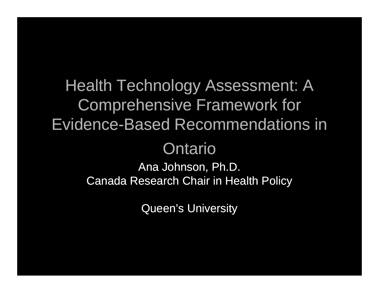Health Technology Assessment: A Comprehensive Framework for Evidence-Based Recommendations in

#### Ontario

Ana Johnson, Ph.D. Canada Research Chair in Health Policy

Queen's University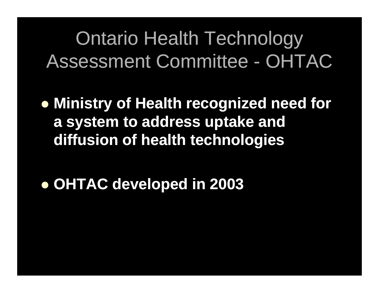**• Ministry of Health recognized need for a s y p stem to address u ptake and diffusion of health technologies**

#### z **OHTAC developed in 2003**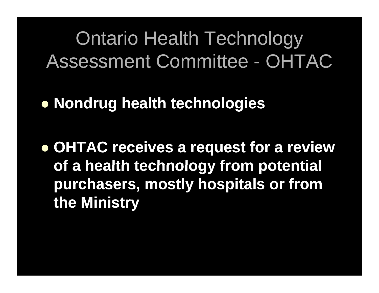z **Nondrug health technologies**

z **OHTAC receives a request for a review of <sup>a</sup> health technology from potential purchasers, mostly hospitals or from the Ministry**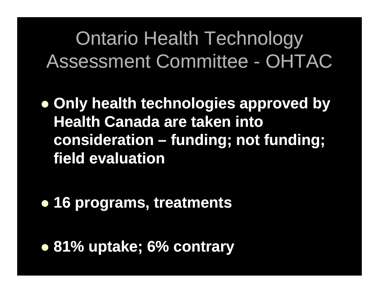**• Only health technologies approved by Health Canada are taken into consideration – funding; not funding; field evaluation**

z **16 programs treatments programs,** 

z **81% uptake; 6% contrary**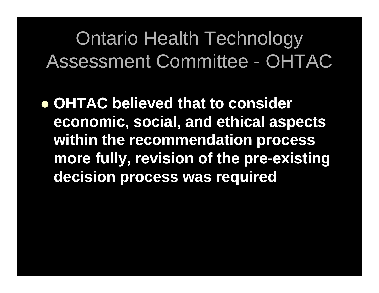z **OHTAC believed that to consider economic, social, and ethical aspects within the recommendation process more fully, revision of the pre-existing decision process was required**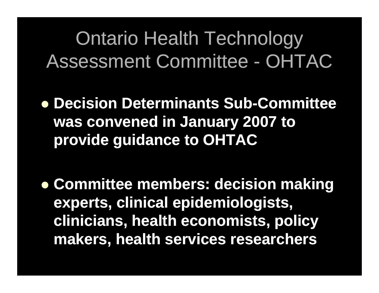- **Decision Determinants Sub-Committee was convened in Januar y 2007 to provide guidance to OHTAC**
- **Committee members: decision making experts clinical epidemiologists experts, epidemiologists, clinicians, health economists, policy makers health services researchers makers, researchers**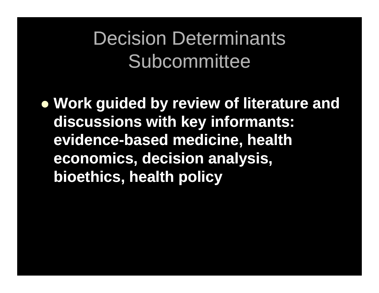### Decision Determinants Subcommittee

z **Work guided by review of literature and discussions with ke y informants: evidence-based medicine, health economics , y, decision anal anal ysis , bioethics, health policy**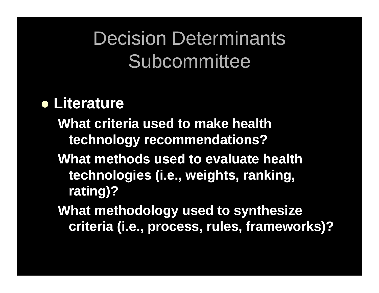# Decision Determinants Subcommittee

#### **• Literature**

**What criteria used to make health technology recommendations?**

- **What methods used to evaluate health technologies (i.e., weights, ranking, rating)?**
- **What methodology used to synthesize criteria (i.e., process, rules, frameworks)?**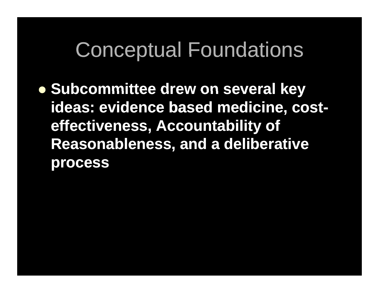# Conceptual Foundations

z **Subcommittee drew on several key several** ideas: evidence based medicine, cost**effectiveness Accountability of effectiveness, Reasonableness, and a deliberative process**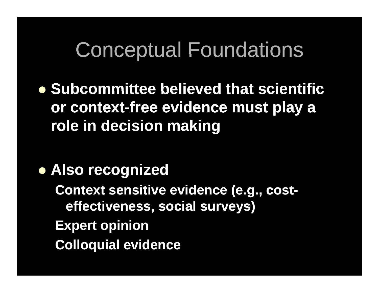# Conceptual Foundations

z **Subcommittee believed that scientific or context-free evidence must play a role in decision making**

#### **• Also recognized**

**Context sensitive evidence (e.g., costeff ti i l ) ffectiveness, soc veness, social surveys surveys Expert opinion Colloquial evidence**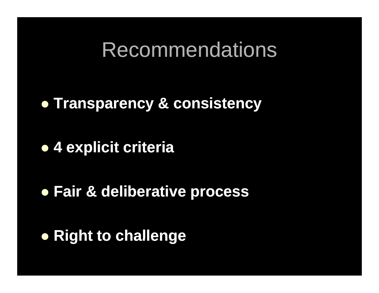Recommendations

**• Transparency & consistency** 

z **4 explicit criteria** 

**• Fair & deliberative process** 

z **Right to challenge**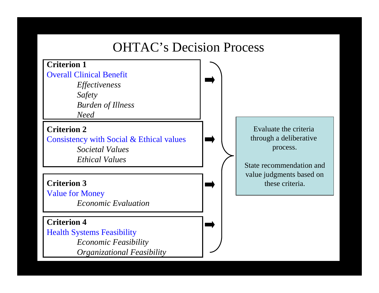#### OHTAC's Decision Process

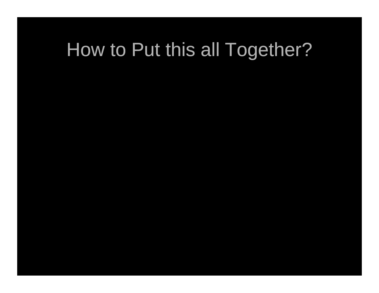### How to Put this all Together?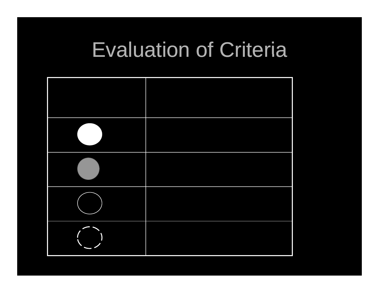# Evaluation of Criteria

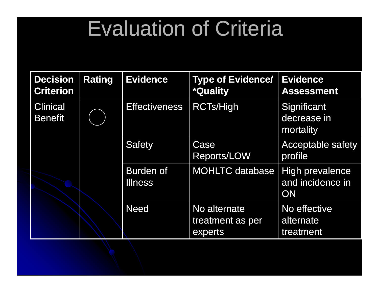# Evaluation of Criteria

| <b>Decision</b><br><b>Criterion</b> | <b>Rating</b> | <b>Evidence</b>                    | <b>Type of Evidence/</b><br><b>*Quality</b> | <b>Evidence</b><br><b>Assessment</b>             |
|-------------------------------------|---------------|------------------------------------|---------------------------------------------|--------------------------------------------------|
| <b>Clinical</b><br><b>Benefit</b>   |               | <b>Effectiveness</b>               | <b>RCTs/High</b>                            | Significant<br>decrease in<br>mortality          |
|                                     |               | <b>Safety</b>                      | Case<br><b>Reports/LOW</b>                  | <b>Acceptable safety</b><br>profile              |
|                                     |               | <b>Burden of</b><br><b>Illness</b> | <b>MOHLTC database</b>                      | High prevalence<br>and incidence in<br><b>ON</b> |
|                                     |               | <b>Need</b>                        | No alternate<br>treatment as per<br>experts | No effective<br>alternate<br>treatment           |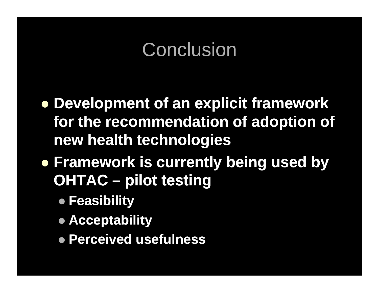### **Conclusion**

z **Development of an explicit framework for the recommendation of adoption of new health technologies**

- z **Framework is currently being used by OHTAC – pilot testing testing**
	- z **Feasibility**
	- **Acceptability**
	- z **Perceived usefulness**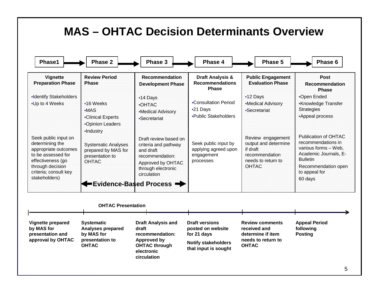